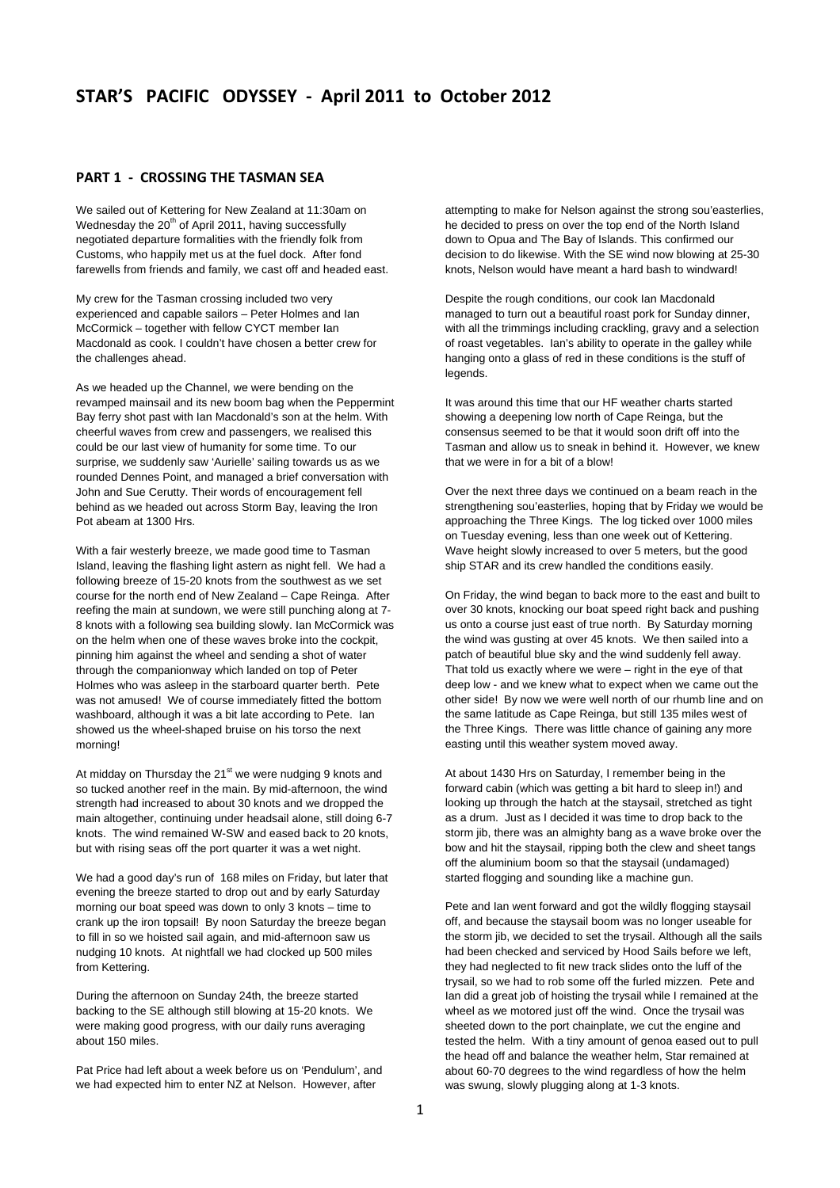# **PART 1 ‐ CROSSING THE TASMAN SEA**

We sailed out of Kettering for New Zealand at 11:30am on Wednesday the  $20<sup>th</sup>$  of April 2011, having successfully negotiated departure formalities with the friendly folk from Customs, who happily met us at the fuel dock. After fond farewells from friends and family, we cast off and headed east.

My crew for the Tasman crossing included two very experienced and capable sailors – Peter Holmes and Ian McCormick – together with fellow CYCT member Ian Macdonald as cook. I couldn't have chosen a better crew for the challenges ahead.

As we headed up the Channel, we were bending on the revamped mainsail and its new boom bag when the Peppermint Bay ferry shot past with Ian Macdonald's son at the helm. With cheerful waves from crew and passengers, we realised this could be our last view of humanity for some time. To our surprise, we suddenly saw 'Aurielle' sailing towards us as we rounded Dennes Point, and managed a brief conversation with John and Sue Cerutty. Their words of encouragement fell behind as we headed out across Storm Bay, leaving the Iron Pot abeam at 1300 Hrs.

With a fair westerly breeze, we made good time to Tasman Island, leaving the flashing light astern as night fell. We had a following breeze of 15-20 knots from the southwest as we set course for the north end of New Zealand – Cape Reinga. After reefing the main at sundown, we were still punching along at 7- 8 knots with a following sea building slowly. Ian McCormick was on the helm when one of these waves broke into the cockpit, pinning him against the wheel and sending a shot of water through the companionway which landed on top of Peter Holmes who was asleep in the starboard quarter berth. Pete was not amused! We of course immediately fitted the bottom washboard, although it was a bit late according to Pete. Ian showed us the wheel-shaped bruise on his torso the next morning!

At midday on Thursday the 21<sup>st</sup> we were nudging 9 knots and so tucked another reef in the main. By mid-afternoon, the wind strength had increased to about 30 knots and we dropped the main altogether, continuing under headsail alone, still doing 6-7 knots. The wind remained W-SW and eased back to 20 knots, but with rising seas off the port quarter it was a wet night.

We had a good day's run of 168 miles on Friday, but later that evening the breeze started to drop out and by early Saturday morning our boat speed was down to only 3 knots – time to crank up the iron topsail! By noon Saturday the breeze began to fill in so we hoisted sail again, and mid-afternoon saw us nudging 10 knots. At nightfall we had clocked up 500 miles from Kettering.

During the afternoon on Sunday 24th, the breeze started backing to the SE although still blowing at 15-20 knots. We were making good progress, with our daily runs averaging about 150 miles.

Pat Price had left about a week before us on 'Pendulum', and we had expected him to enter NZ at Nelson. However, after

attempting to make for Nelson against the strong sou'easterlies, he decided to press on over the top end of the North Island down to Opua and The Bay of Islands. This confirmed our decision to do likewise. With the SE wind now blowing at 25-30 knots, Nelson would have meant a hard bash to windward!

Despite the rough conditions, our cook Ian Macdonald managed to turn out a beautiful roast pork for Sunday dinner, with all the trimmings including crackling, gravy and a selection of roast vegetables. Ian's ability to operate in the galley while hanging onto a glass of red in these conditions is the stuff of legends.

It was around this time that our HF weather charts started showing a deepening low north of Cape Reinga, but the consensus seemed to be that it would soon drift off into the Tasman and allow us to sneak in behind it. However, we knew that we were in for a bit of a blow!

Over the next three days we continued on a beam reach in the strengthening sou'easterlies, hoping that by Friday we would be approaching the Three Kings. The log ticked over 1000 miles on Tuesday evening, less than one week out of Kettering. Wave height slowly increased to over 5 meters, but the good ship STAR and its crew handled the conditions easily.

On Friday, the wind began to back more to the east and built to over 30 knots, knocking our boat speed right back and pushing us onto a course just east of true north. By Saturday morning the wind was gusting at over 45 knots. We then sailed into a patch of beautiful blue sky and the wind suddenly fell away. That told us exactly where we were – right in the eye of that deep low - and we knew what to expect when we came out the other side! By now we were well north of our rhumb line and on the same latitude as Cape Reinga, but still 135 miles west of the Three Kings. There was little chance of gaining any more easting until this weather system moved away.

At about 1430 Hrs on Saturday, I remember being in the forward cabin (which was getting a bit hard to sleep in!) and looking up through the hatch at the staysail, stretched as tight as a drum. Just as I decided it was time to drop back to the storm jib, there was an almighty bang as a wave broke over the bow and hit the staysail, ripping both the clew and sheet tangs off the aluminium boom so that the staysail (undamaged) started flogging and sounding like a machine gun.

Pete and Ian went forward and got the wildly flogging staysail off, and because the staysail boom was no longer useable for the storm jib, we decided to set the trysail. Although all the sails had been checked and serviced by Hood Sails before we left, they had neglected to fit new track slides onto the luff of the trysail, so we had to rob some off the furled mizzen. Pete and Ian did a great job of hoisting the trysail while I remained at the wheel as we motored just off the wind. Once the trysail was sheeted down to the port chainplate, we cut the engine and tested the helm. With a tiny amount of genoa eased out to pull the head off and balance the weather helm, Star remained at about 60-70 degrees to the wind regardless of how the helm was swung, slowly plugging along at 1-3 knots.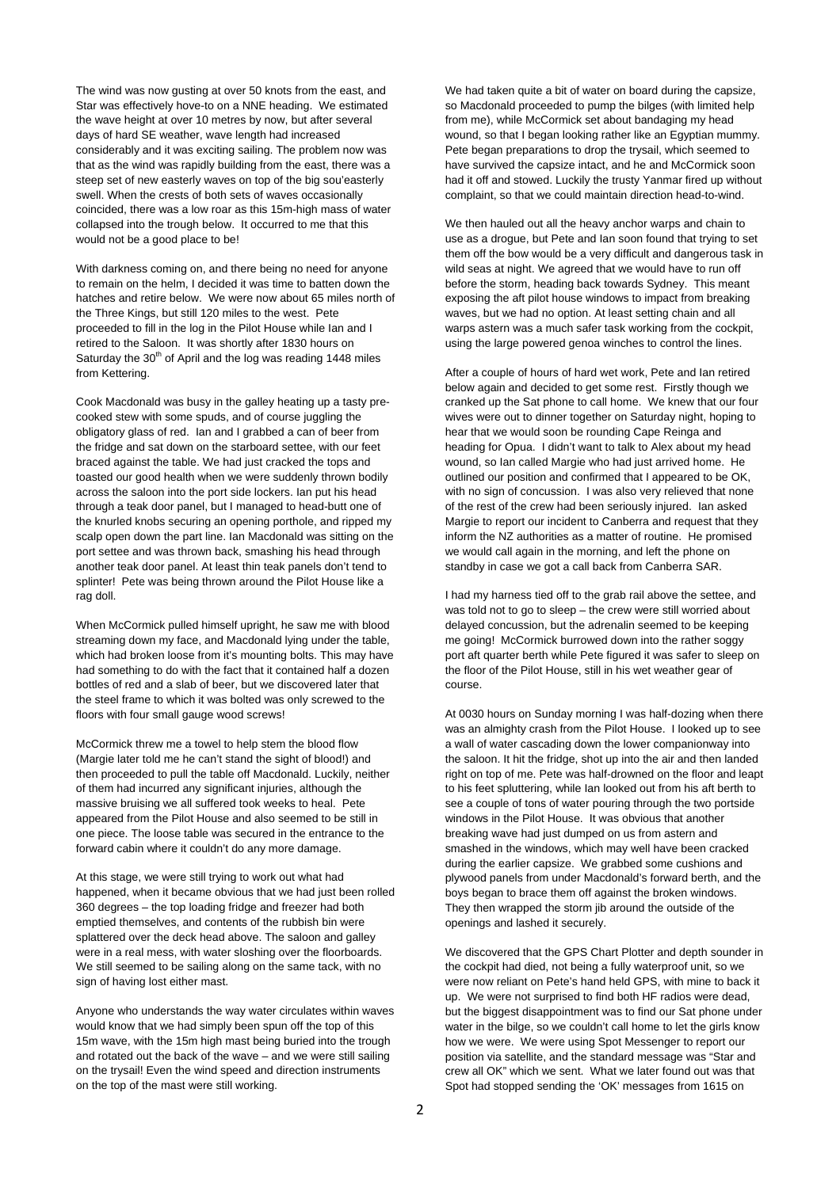The wind was now gusting at over 50 knots from the east, and Star was effectively hove-to on a NNE heading. We estimated the wave height at over 10 metres by now, but after several days of hard SE weather, wave length had increased considerably and it was exciting sailing. The problem now was that as the wind was rapidly building from the east, there was a steep set of new easterly waves on top of the big sou'easterly swell. When the crests of both sets of waves occasionally coincided, there was a low roar as this 15m-high mass of water collapsed into the trough below. It occurred to me that this would not be a good place to be!

With darkness coming on, and there being no need for anyone to remain on the helm, I decided it was time to batten down the hatches and retire below. We were now about 65 miles north of the Three Kings, but still 120 miles to the west. Pete proceeded to fill in the log in the Pilot House while Ian and I retired to the Saloon. It was shortly after 1830 hours on Saturday the  $30<sup>th</sup>$  of April and the log was reading 1448 miles from Kettering.

Cook Macdonald was busy in the galley heating up a tasty precooked stew with some spuds, and of course juggling the obligatory glass of red. Ian and I grabbed a can of beer from the fridge and sat down on the starboard settee, with our feet braced against the table. We had just cracked the tops and toasted our good health when we were suddenly thrown bodily across the saloon into the port side lockers. Ian put his head through a teak door panel, but I managed to head-butt one of the knurled knobs securing an opening porthole, and ripped my scalp open down the part line. Ian Macdonald was sitting on the port settee and was thrown back, smashing his head through another teak door panel. At least thin teak panels don't tend to splinter! Pete was being thrown around the Pilot House like a rag doll.

When McCormick pulled himself upright, he saw me with blood streaming down my face, and Macdonald lying under the table, which had broken loose from it's mounting bolts. This may have had something to do with the fact that it contained half a dozen bottles of red and a slab of beer, but we discovered later that the steel frame to which it was bolted was only screwed to the floors with four small gauge wood screws!

McCormick threw me a towel to help stem the blood flow (Margie later told me he can't stand the sight of blood!) and then proceeded to pull the table off Macdonald. Luckily, neither of them had incurred any significant injuries, although the massive bruising we all suffered took weeks to heal. Pete appeared from the Pilot House and also seemed to be still in one piece. The loose table was secured in the entrance to the forward cabin where it couldn't do any more damage.

At this stage, we were still trying to work out what had happened, when it became obvious that we had just been rolled 360 degrees – the top loading fridge and freezer had both emptied themselves, and contents of the rubbish bin were splattered over the deck head above. The saloon and galley were in a real mess, with water sloshing over the floorboards. We still seemed to be sailing along on the same tack, with no sign of having lost either mast.

Anyone who understands the way water circulates within waves would know that we had simply been spun off the top of this 15m wave, with the 15m high mast being buried into the trough and rotated out the back of the wave – and we were still sailing on the trysail! Even the wind speed and direction instruments on the top of the mast were still working.

We had taken quite a bit of water on board during the capsize. so Macdonald proceeded to pump the bilges (with limited help from me), while McCormick set about bandaging my head wound, so that I began looking rather like an Egyptian mummy. Pete began preparations to drop the trysail, which seemed to have survived the capsize intact, and he and McCormick soon had it off and stowed. Luckily the trusty Yanmar fired up without complaint, so that we could maintain direction head-to-wind.

We then hauled out all the heavy anchor warps and chain to use as a drogue, but Pete and Ian soon found that trying to set them off the bow would be a very difficult and dangerous task in wild seas at night. We agreed that we would have to run off before the storm, heading back towards Sydney. This meant exposing the aft pilot house windows to impact from breaking waves, but we had no option. At least setting chain and all warps astern was a much safer task working from the cockpit, using the large powered genoa winches to control the lines.

After a couple of hours of hard wet work, Pete and Ian retired below again and decided to get some rest. Firstly though we cranked up the Sat phone to call home. We knew that our four wives were out to dinner together on Saturday night, hoping to hear that we would soon be rounding Cape Reinga and heading for Opua. I didn't want to talk to Alex about my head wound, so Ian called Margie who had just arrived home. He outlined our position and confirmed that I appeared to be OK, with no sign of concussion. I was also very relieved that none of the rest of the crew had been seriously injured. Ian asked Margie to report our incident to Canberra and request that they inform the NZ authorities as a matter of routine. He promised we would call again in the morning, and left the phone on standby in case we got a call back from Canberra SAR.

I had my harness tied off to the grab rail above the settee, and was told not to go to sleep – the crew were still worried about delayed concussion, but the adrenalin seemed to be keeping me going! McCormick burrowed down into the rather soggy port aft quarter berth while Pete figured it was safer to sleep on the floor of the Pilot House, still in his wet weather gear of course.

At 0030 hours on Sunday morning I was half-dozing when there was an almighty crash from the Pilot House. I looked up to see a wall of water cascading down the lower companionway into the saloon. It hit the fridge, shot up into the air and then landed right on top of me. Pete was half-drowned on the floor and leapt to his feet spluttering, while Ian looked out from his aft berth to see a couple of tons of water pouring through the two portside windows in the Pilot House. It was obvious that another breaking wave had just dumped on us from astern and smashed in the windows, which may well have been cracked during the earlier capsize. We grabbed some cushions and plywood panels from under Macdonald's forward berth, and the boys began to brace them off against the broken windows. They then wrapped the storm jib around the outside of the openings and lashed it securely.

We discovered that the GPS Chart Plotter and depth sounder in the cockpit had died, not being a fully waterproof unit, so we were now reliant on Pete's hand held GPS, with mine to back it up. We were not surprised to find both HF radios were dead, but the biggest disappointment was to find our Sat phone under water in the bilge, so we couldn't call home to let the girls know how we were. We were using Spot Messenger to report our position via satellite, and the standard message was "Star and crew all OK" which we sent. What we later found out was that Spot had stopped sending the 'OK' messages from 1615 on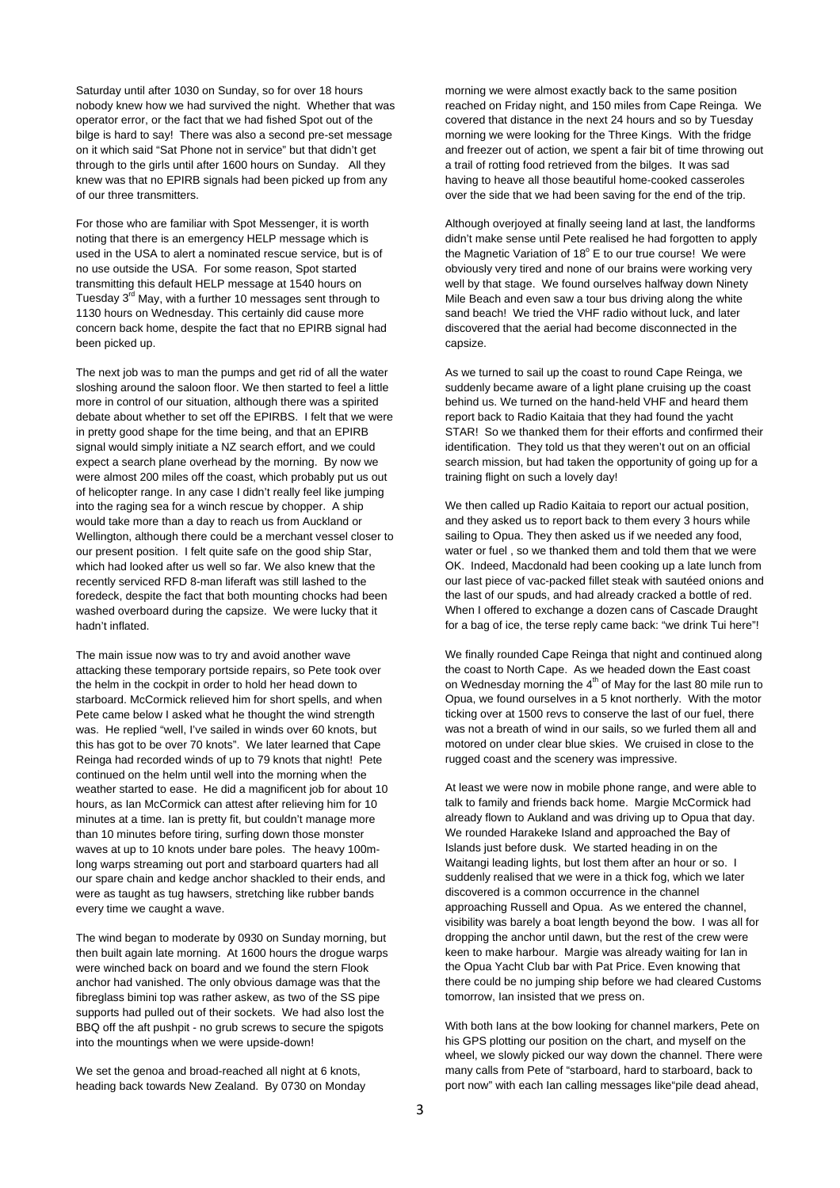Saturday until after 1030 on Sunday, so for over 18 hours nobody knew how we had survived the night. Whether that was operator error, or the fact that we had fished Spot out of the bilge is hard to say! There was also a second pre-set message on it which said "Sat Phone not in service" but that didn't get through to the girls until after 1600 hours on Sunday. All they knew was that no EPIRB signals had been picked up from any of our three transmitters.

For those who are familiar with Spot Messenger, it is worth noting that there is an emergency HELP message which is used in the USA to alert a nominated rescue service, but is of no use outside the USA. For some reason, Spot started transmitting this default HELP message at 1540 hours on Tuesday 3<sup>rd</sup> May, with a further 10 messages sent through to 1130 hours on Wednesday. This certainly did cause more concern back home, despite the fact that no EPIRB signal had been picked up.

The next job was to man the pumps and get rid of all the water sloshing around the saloon floor. We then started to feel a little more in control of our situation, although there was a spirited debate about whether to set off the EPIRBS. I felt that we were in pretty good shape for the time being, and that an EPIRB signal would simply initiate a NZ search effort, and we could expect a search plane overhead by the morning. By now we were almost 200 miles off the coast, which probably put us out of helicopter range. In any case I didn't really feel like jumping into the raging sea for a winch rescue by chopper. A ship would take more than a day to reach us from Auckland or Wellington, although there could be a merchant vessel closer to our present position. I felt quite safe on the good ship Star, which had looked after us well so far. We also knew that the recently serviced RFD 8-man liferaft was still lashed to the foredeck, despite the fact that both mounting chocks had been washed overboard during the capsize. We were lucky that it hadn't inflated.

The main issue now was to try and avoid another wave attacking these temporary portside repairs, so Pete took over the helm in the cockpit in order to hold her head down to starboard. McCormick relieved him for short spells, and when Pete came below I asked what he thought the wind strength was. He replied "well, I've sailed in winds over 60 knots, but this has got to be over 70 knots". We later learned that Cape Reinga had recorded winds of up to 79 knots that night! Pete continued on the helm until well into the morning when the weather started to ease. He did a magnificent job for about 10 hours, as Ian McCormick can attest after relieving him for 10 minutes at a time. Ian is pretty fit, but couldn't manage more than 10 minutes before tiring, surfing down those monster waves at up to 10 knots under bare poles. The heavy 100mlong warps streaming out port and starboard quarters had all our spare chain and kedge anchor shackled to their ends, and were as taught as tug hawsers, stretching like rubber bands every time we caught a wave.

The wind began to moderate by 0930 on Sunday morning, but then built again late morning. At 1600 hours the drogue warps were winched back on board and we found the stern Flook anchor had vanished. The only obvious damage was that the fibreglass bimini top was rather askew, as two of the SS pipe supports had pulled out of their sockets. We had also lost the BBQ off the aft pushpit - no grub screws to secure the spigots into the mountings when we were upside-down!

We set the genoa and broad-reached all night at 6 knots, heading back towards New Zealand. By 0730 on Monday morning we were almost exactly back to the same position reached on Friday night, and 150 miles from Cape Reinga. We covered that distance in the next 24 hours and so by Tuesday morning we were looking for the Three Kings. With the fridge and freezer out of action, we spent a fair bit of time throwing out a trail of rotting food retrieved from the bilges. It was sad having to heave all those beautiful home-cooked casseroles over the side that we had been saving for the end of the trip.

Although overjoyed at finally seeing land at last, the landforms didn't make sense until Pete realised he had forgotten to apply the Magnetic Variation of 18° E to our true course! We were obviously very tired and none of our brains were working very well by that stage. We found ourselves halfway down Ninety Mile Beach and even saw a tour bus driving along the white sand beach! We tried the VHF radio without luck, and later discovered that the aerial had become disconnected in the capsize.

As we turned to sail up the coast to round Cape Reinga, we suddenly became aware of a light plane cruising up the coast behind us. We turned on the hand-held VHF and heard them report back to Radio Kaitaia that they had found the yacht STAR! So we thanked them for their efforts and confirmed their identification. They told us that they weren't out on an official search mission, but had taken the opportunity of going up for a training flight on such a lovely day!

We then called up Radio Kaitaia to report our actual position, and they asked us to report back to them every 3 hours while sailing to Opua. They then asked us if we needed any food, water or fuel , so we thanked them and told them that we were OK. Indeed, Macdonald had been cooking up a late lunch from our last piece of vac-packed fillet steak with sautéed onions and the last of our spuds, and had already cracked a bottle of red. When I offered to exchange a dozen cans of Cascade Draught for a bag of ice, the terse reply came back: "we drink Tui here"!

We finally rounded Cape Reinga that night and continued along the coast to North Cape. As we headed down the East coast on Wednesday morning the  $4<sup>th</sup>$  of May for the last 80 mile run to Opua, we found ourselves in a 5 knot northerly. With the motor ticking over at 1500 revs to conserve the last of our fuel, there was not a breath of wind in our sails, so we furled them all and motored on under clear blue skies. We cruised in close to the rugged coast and the scenery was impressive.

At least we were now in mobile phone range, and were able to talk to family and friends back home. Margie McCormick had already flown to Aukland and was driving up to Opua that day. We rounded Harakeke Island and approached the Bay of Islands just before dusk. We started heading in on the Waitangi leading lights, but lost them after an hour or so. I suddenly realised that we were in a thick fog, which we later discovered is a common occurrence in the channel approaching Russell and Opua. As we entered the channel, visibility was barely a boat length beyond the bow. I was all for dropping the anchor until dawn, but the rest of the crew were keen to make harbour. Margie was already waiting for Ian in the Opua Yacht Club bar with Pat Price. Even knowing that there could be no jumping ship before we had cleared Customs tomorrow, Ian insisted that we press on.

With both Ians at the bow looking for channel markers, Pete on his GPS plotting our position on the chart, and myself on the wheel, we slowly picked our way down the channel. There were many calls from Pete of "starboard, hard to starboard, back to port now" with each Ian calling messages like"pile dead ahead,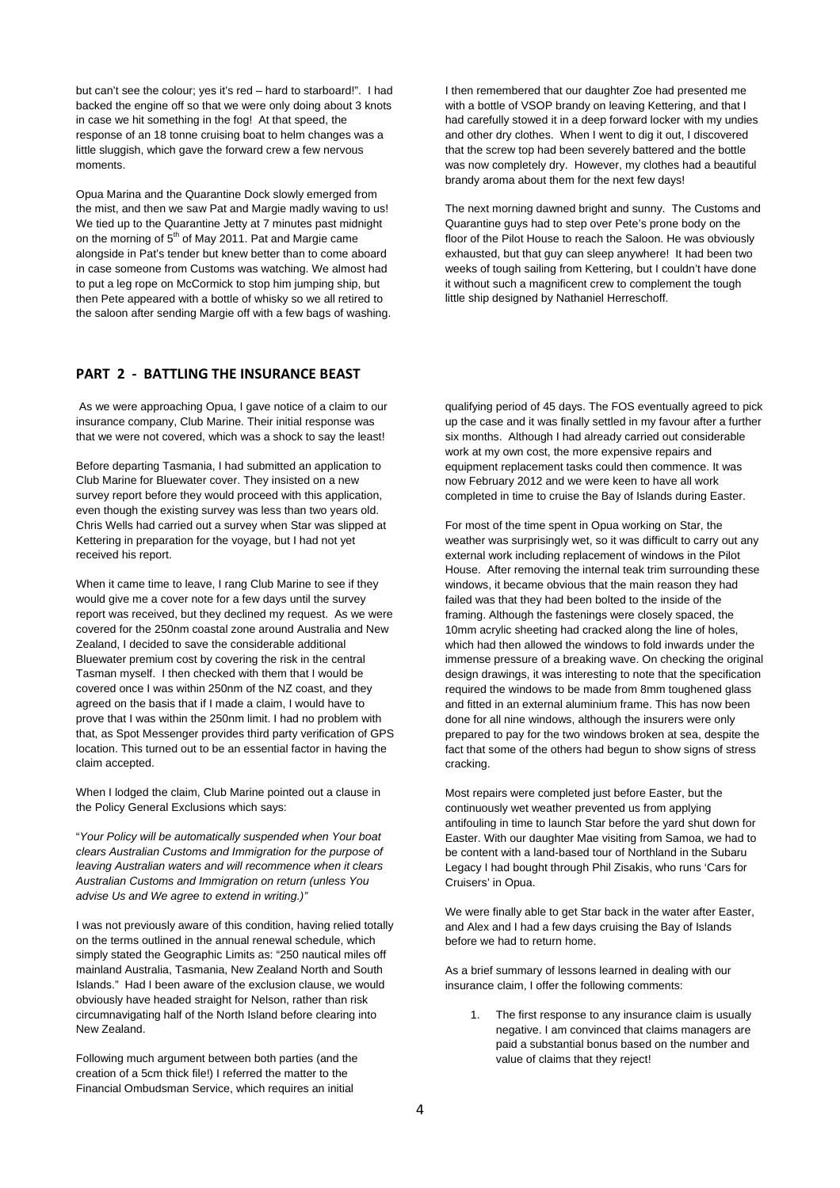but can't see the colour; yes it's red – hard to starboard!". I had backed the engine off so that we were only doing about 3 knots in case we hit something in the fog! At that speed, the response of an 18 tonne cruising boat to helm changes was a little sluggish, which gave the forward crew a few nervous moments.

Opua Marina and the Quarantine Dock slowly emerged from the mist, and then we saw Pat and Margie madly waving to us! We tied up to the Quarantine Jetty at 7 minutes past midnight on the morning of 5<sup>th</sup> of May 2011. Pat and Margie came alongside in Pat's tender but knew better than to come aboard in case someone from Customs was watching. We almost had to put a leg rope on McCormick to stop him jumping ship, but then Pete appeared with a bottle of whisky so we all retired to the saloon after sending Margie off with a few bags of washing.

#### **PART 2 ‐ BATTLING THE INSURANCE BEAST**

 As we were approaching Opua, I gave notice of a claim to our insurance company, Club Marine. Their initial response was that we were not covered, which was a shock to say the least!

Before departing Tasmania, I had submitted an application to Club Marine for Bluewater cover. They insisted on a new survey report before they would proceed with this application, even though the existing survey was less than two years old. Chris Wells had carried out a survey when Star was slipped at Kettering in preparation for the voyage, but I had not yet received his report.

When it came time to leave, I rang Club Marine to see if they would give me a cover note for a few days until the survey report was received, but they declined my request. As we were covered for the 250nm coastal zone around Australia and New Zealand, I decided to save the considerable additional Bluewater premium cost by covering the risk in the central Tasman myself. I then checked with them that I would be covered once I was within 250nm of the NZ coast, and they agreed on the basis that if I made a claim, I would have to prove that I was within the 250nm limit. I had no problem with that, as Spot Messenger provides third party verification of GPS location. This turned out to be an essential factor in having the claim accepted.

When I lodged the claim, Club Marine pointed out a clause in the Policy General Exclusions which says:

"*Your Policy will be automatically suspended when Your boat clears Australian Customs and Immigration for the purpose of leaving Australian waters and will recommence when it clears Australian Customs and Immigration on return (unless You advise Us and We agree to extend in writing.)"* 

I was not previously aware of this condition, having relied totally on the terms outlined in the annual renewal schedule, which simply stated the Geographic Limits as: "250 nautical miles off mainland Australia, Tasmania, New Zealand North and South Islands." Had I been aware of the exclusion clause, we would obviously have headed straight for Nelson, rather than risk circumnavigating half of the North Island before clearing into New Zealand.

Following much argument between both parties (and the creation of a 5cm thick file!) I referred the matter to the Financial Ombudsman Service, which requires an initial

I then remembered that our daughter Zoe had presented me with a bottle of VSOP brandy on leaving Kettering, and that I had carefully stowed it in a deep forward locker with my undies and other dry clothes. When I went to dig it out, I discovered that the screw top had been severely battered and the bottle was now completely dry. However, my clothes had a beautiful brandy aroma about them for the next few days!

The next morning dawned bright and sunny. The Customs and Quarantine guys had to step over Pete's prone body on the floor of the Pilot House to reach the Saloon. He was obviously exhausted, but that guy can sleep anywhere! It had been two weeks of tough sailing from Kettering, but I couldn't have done it without such a magnificent crew to complement the tough little ship designed by Nathaniel Herreschoff.

qualifying period of 45 days. The FOS eventually agreed to pick up the case and it was finally settled in my favour after a further six months. Although I had already carried out considerable work at my own cost, the more expensive repairs and equipment replacement tasks could then commence. It was now February 2012 and we were keen to have all work completed in time to cruise the Bay of Islands during Easter.

For most of the time spent in Opua working on Star, the weather was surprisingly wet, so it was difficult to carry out any external work including replacement of windows in the Pilot House. After removing the internal teak trim surrounding these windows, it became obvious that the main reason they had failed was that they had been bolted to the inside of the framing. Although the fastenings were closely spaced, the 10mm acrylic sheeting had cracked along the line of holes, which had then allowed the windows to fold inwards under the immense pressure of a breaking wave. On checking the original design drawings, it was interesting to note that the specification required the windows to be made from 8mm toughened glass and fitted in an external aluminium frame. This has now been done for all nine windows, although the insurers were only prepared to pay for the two windows broken at sea, despite the fact that some of the others had begun to show signs of stress cracking.

Most repairs were completed just before Easter, but the continuously wet weather prevented us from applying antifouling in time to launch Star before the yard shut down for Easter. With our daughter Mae visiting from Samoa, we had to be content with a land-based tour of Northland in the Subaru Legacy I had bought through Phil Zisakis, who runs 'Cars for Cruisers' in Opua.

We were finally able to get Star back in the water after Easter, and Alex and I had a few days cruising the Bay of Islands before we had to return home.

As a brief summary of lessons learned in dealing with our insurance claim, I offer the following comments:

1. The first response to any insurance claim is usually negative. I am convinced that claims managers are paid a substantial bonus based on the number and value of claims that they reject!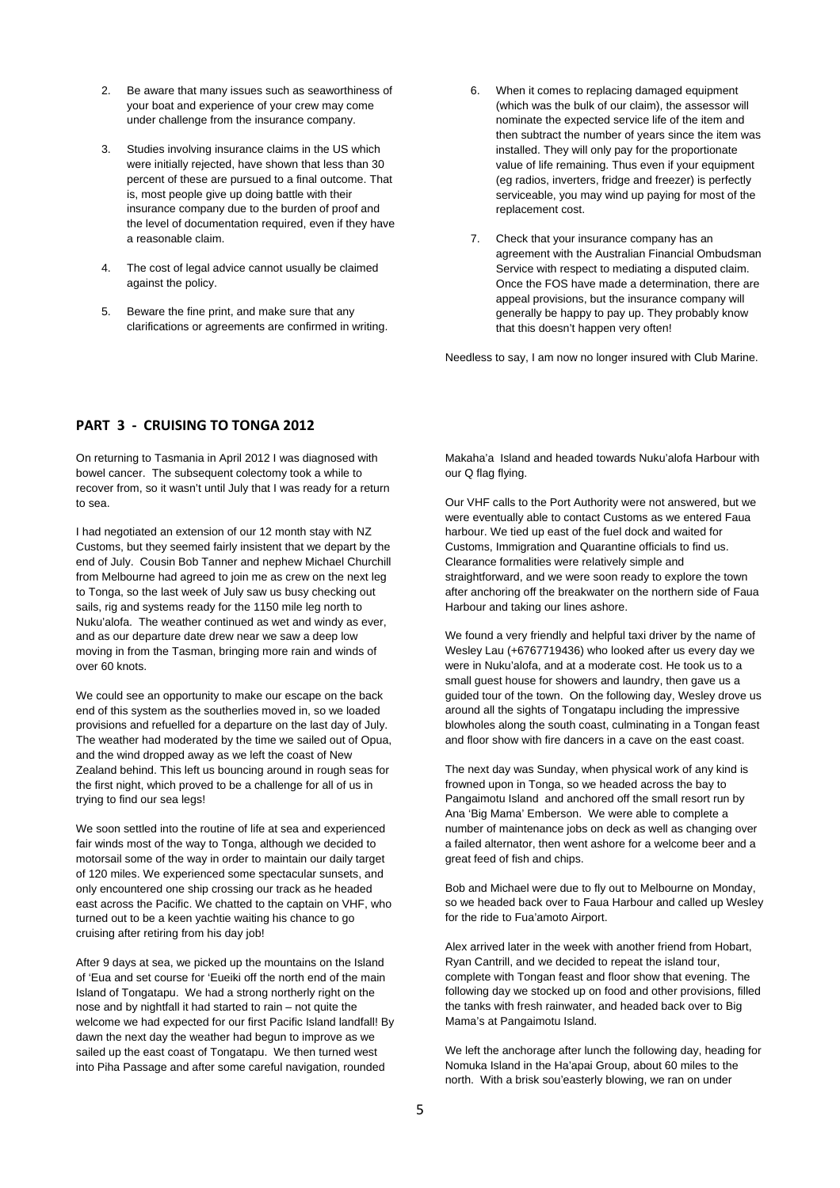- 2. Be aware that many issues such as seaworthiness of your boat and experience of your crew may come under challenge from the insurance company.
- 3. Studies involving insurance claims in the US which were initially rejected, have shown that less than 30 percent of these are pursued to a final outcome. That is, most people give up doing battle with their insurance company due to the burden of proof and the level of documentation required, even if they have a reasonable claim.
- 4. The cost of legal advice cannot usually be claimed against the policy.
- 5. Beware the fine print, and make sure that any clarifications or agreements are confirmed in writing.
- 6. When it comes to replacing damaged equipment (which was the bulk of our claim), the assessor will nominate the expected service life of the item and then subtract the number of years since the item was installed. They will only pay for the proportionate value of life remaining. Thus even if your equipment (eg radios, inverters, fridge and freezer) is perfectly serviceable, you may wind up paying for most of the replacement cost.
- 7. Check that your insurance company has an agreement with the Australian Financial Ombudsman Service with respect to mediating a disputed claim. Once the FOS have made a determination, there are appeal provisions, but the insurance company will generally be happy to pay up. They probably know that this doesn't happen very often!

Needless to say, I am now no longer insured with Club Marine.

## **PART 3 ‐ CRUISING TO TONGA 2012**

On returning to Tasmania in April 2012 I was diagnosed with bowel cancer. The subsequent colectomy took a while to recover from, so it wasn't until July that I was ready for a return to sea.

I had negotiated an extension of our 12 month stay with NZ Customs, but they seemed fairly insistent that we depart by the end of July. Cousin Bob Tanner and nephew Michael Churchill from Melbourne had agreed to join me as crew on the next leg to Tonga, so the last week of July saw us busy checking out sails, rig and systems ready for the 1150 mile leg north to Nuku'alofa. The weather continued as wet and windy as ever, and as our departure date drew near we saw a deep low moving in from the Tasman, bringing more rain and winds of over 60 knots.

We could see an opportunity to make our escape on the back end of this system as the southerlies moved in, so we loaded provisions and refuelled for a departure on the last day of July. The weather had moderated by the time we sailed out of Opua, and the wind dropped away as we left the coast of New Zealand behind. This left us bouncing around in rough seas for the first night, which proved to be a challenge for all of us in trying to find our sea legs!

We soon settled into the routine of life at sea and experienced fair winds most of the way to Tonga, although we decided to motorsail some of the way in order to maintain our daily target of 120 miles. We experienced some spectacular sunsets, and only encountered one ship crossing our track as he headed east across the Pacific. We chatted to the captain on VHF, who turned out to be a keen yachtie waiting his chance to go cruising after retiring from his day job!

After 9 days at sea, we picked up the mountains on the Island of 'Eua and set course for 'Eueiki off the north end of the main Island of Tongatapu. We had a strong northerly right on the nose and by nightfall it had started to rain – not quite the welcome we had expected for our first Pacific Island landfall! By dawn the next day the weather had begun to improve as we sailed up the east coast of Tongatapu. We then turned west into Piha Passage and after some careful navigation, rounded

Makaha'a Island and headed towards Nuku'alofa Harbour with our Q flag flying.

Our VHF calls to the Port Authority were not answered, but we were eventually able to contact Customs as we entered Faua harbour. We tied up east of the fuel dock and waited for Customs, Immigration and Quarantine officials to find us. Clearance formalities were relatively simple and straightforward, and we were soon ready to explore the town after anchoring off the breakwater on the northern side of Faua Harbour and taking our lines ashore.

We found a very friendly and helpful taxi driver by the name of Wesley Lau (+6767719436) who looked after us every day we were in Nuku'alofa, and at a moderate cost. He took us to a small guest house for showers and laundry, then gave us a guided tour of the town. On the following day, Wesley drove us around all the sights of Tongatapu including the impressive blowholes along the south coast, culminating in a Tongan feast and floor show with fire dancers in a cave on the east coast.

The next day was Sunday, when physical work of any kind is frowned upon in Tonga, so we headed across the bay to Pangaimotu Island and anchored off the small resort run by Ana 'Big Mama' Emberson. We were able to complete a number of maintenance jobs on deck as well as changing over a failed alternator, then went ashore for a welcome beer and a great feed of fish and chips.

Bob and Michael were due to fly out to Melbourne on Monday, so we headed back over to Faua Harbour and called up Wesley for the ride to Fua'amoto Airport.

Alex arrived later in the week with another friend from Hobart, Ryan Cantrill, and we decided to repeat the island tour, complete with Tongan feast and floor show that evening. The following day we stocked up on food and other provisions, filled the tanks with fresh rainwater, and headed back over to Big Mama's at Pangaimotu Island.

We left the anchorage after lunch the following day, heading for Nomuka Island in the Ha'apai Group, about 60 miles to the north. With a brisk sou'easterly blowing, we ran on under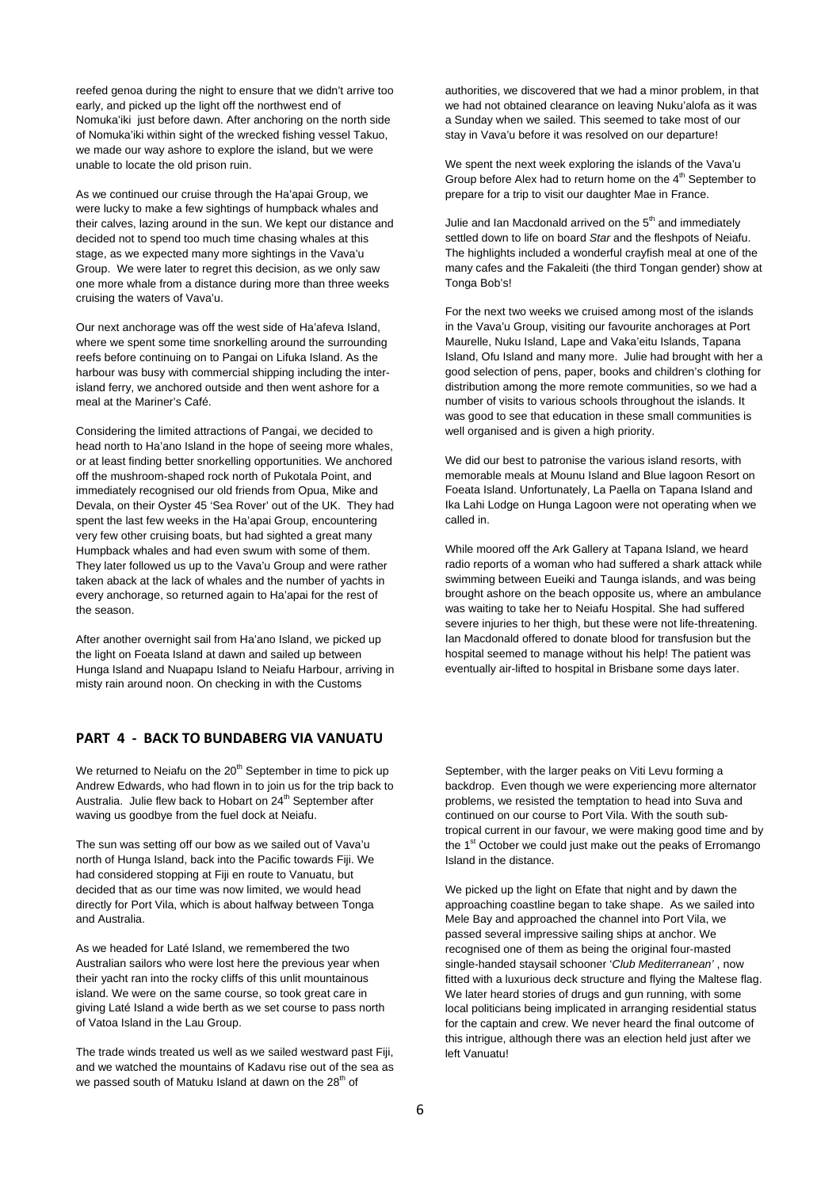reefed genoa during the night to ensure that we didn't arrive too early, and picked up the light off the northwest end of Nomuka'iki just before dawn. After anchoring on the north side of Nomuka'iki within sight of the wrecked fishing vessel Takuo, we made our way ashore to explore the island, but we were unable to locate the old prison ruin.

As we continued our cruise through the Ha'apai Group, we were lucky to make a few sightings of humpback whales and their calves, lazing around in the sun. We kept our distance and decided not to spend too much time chasing whales at this stage, as we expected many more sightings in the Vava'u Group. We were later to regret this decision, as we only saw one more whale from a distance during more than three weeks cruising the waters of Vava'u.

Our next anchorage was off the west side of Ha'afeva Island, where we spent some time snorkelling around the surrounding reefs before continuing on to Pangai on Lifuka Island. As the harbour was busy with commercial shipping including the interisland ferry, we anchored outside and then went ashore for a meal at the Mariner's Café.

Considering the limited attractions of Pangai, we decided to head north to Ha'ano Island in the hope of seeing more whales, or at least finding better snorkelling opportunities. We anchored off the mushroom-shaped rock north of Pukotala Point, and immediately recognised our old friends from Opua, Mike and Devala, on their Oyster 45 'Sea Rover' out of the UK. They had spent the last few weeks in the Ha'apai Group, encountering very few other cruising boats, but had sighted a great many Humpback whales and had even swum with some of them. They later followed us up to the Vava'u Group and were rather taken aback at the lack of whales and the number of yachts in every anchorage, so returned again to Ha'apai for the rest of the season.

After another overnight sail from Ha'ano Island, we picked up the light on Foeata Island at dawn and sailed up between Hunga Island and Nuapapu Island to Neiafu Harbour, arriving in misty rain around noon. On checking in with the Customs

# **PART 4 ‐ BACK TO BUNDABERG VIA VANUATU**

We returned to Neiafu on the  $20<sup>th</sup>$  September in time to pick up Andrew Edwards, who had flown in to join us for the trip back to Australia. Julie flew back to Hobart on 24<sup>th</sup> September after waving us goodbye from the fuel dock at Neiafu.

The sun was setting off our bow as we sailed out of Vava'u north of Hunga Island, back into the Pacific towards Fiji. We had considered stopping at Fiji en route to Vanuatu, but decided that as our time was now limited, we would head directly for Port Vila, which is about halfway between Tonga and Australia.

As we headed for Laté Island, we remembered the two Australian sailors who were lost here the previous year when their yacht ran into the rocky cliffs of this unlit mountainous island. We were on the same course, so took great care in giving Laté Island a wide berth as we set course to pass north of Vatoa Island in the Lau Group.

The trade winds treated us well as we sailed westward past Fiji, and we watched the mountains of Kadavu rise out of the sea as we passed south of Matuku Island at dawn on the 28<sup>th</sup> of

authorities, we discovered that we had a minor problem, in that we had not obtained clearance on leaving Nuku'alofa as it was a Sunday when we sailed. This seemed to take most of our stay in Vava'u before it was resolved on our departure!

We spent the next week exploring the islands of the Vava'u Group before Alex had to return home on the 4<sup>th</sup> September to prepare for a trip to visit our daughter Mae in France.

Julie and Ian Macdonald arrived on the  $5<sup>th</sup>$  and immediately settled down to life on board *Star* and the fleshpots of Neiafu. The highlights included a wonderful crayfish meal at one of the many cafes and the Fakaleiti (the third Tongan gender) show at Tonga Bob's!

For the next two weeks we cruised among most of the islands in the Vava'u Group, visiting our favourite anchorages at Port Maurelle, Nuku Island, Lape and Vaka'eitu Islands, Tapana Island, Ofu Island and many more. Julie had brought with her a good selection of pens, paper, books and children's clothing for distribution among the more remote communities, so we had a number of visits to various schools throughout the islands. It was good to see that education in these small communities is well organised and is given a high priority.

We did our best to patronise the various island resorts, with memorable meals at Mounu Island and Blue lagoon Resort on Foeata Island. Unfortunately, La Paella on Tapana Island and Ika Lahi Lodge on Hunga Lagoon were not operating when we called in.

While moored off the Ark Gallery at Tapana Island, we heard radio reports of a woman who had suffered a shark attack while swimming between Eueiki and Taunga islands, and was being brought ashore on the beach opposite us, where an ambulance was waiting to take her to Neiafu Hospital. She had suffered severe injuries to her thigh, but these were not life-threatening. Ian Macdonald offered to donate blood for transfusion but the hospital seemed to manage without his help! The patient was eventually air-lifted to hospital in Brisbane some days later.

September, with the larger peaks on Viti Levu forming a backdrop. Even though we were experiencing more alternator problems, we resisted the temptation to head into Suva and continued on our course to Port Vila. With the south subtropical current in our favour, we were making good time and by the 1<sup>st</sup> October we could just make out the peaks of Erromango Island in the distance.

We picked up the light on Efate that night and by dawn the approaching coastline began to take shape. As we sailed into Mele Bay and approached the channel into Port Vila, we passed several impressive sailing ships at anchor. We recognised one of them as being the original four-masted single-handed staysail schooner '*Club Mediterranean'* , now fitted with a luxurious deck structure and flying the Maltese flag. We later heard stories of drugs and gun running, with some local politicians being implicated in arranging residential status for the captain and crew. We never heard the final outcome of this intrigue, although there was an election held just after we left Vanuatu!